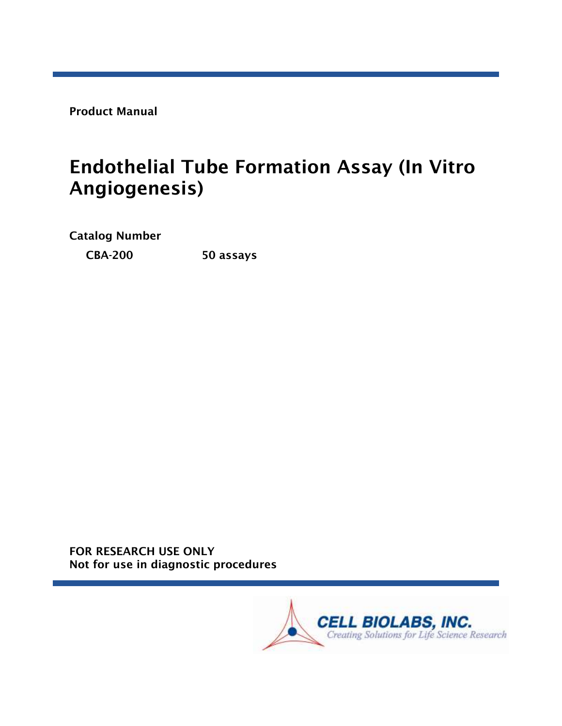Product Manual

# Endothelial Tube Formation Assay (In Vitro Angiogenesis)

Catalog Number

CBA-200 50 assays

FOR RESEARCH USE ONLY Not for use in diagnostic procedures

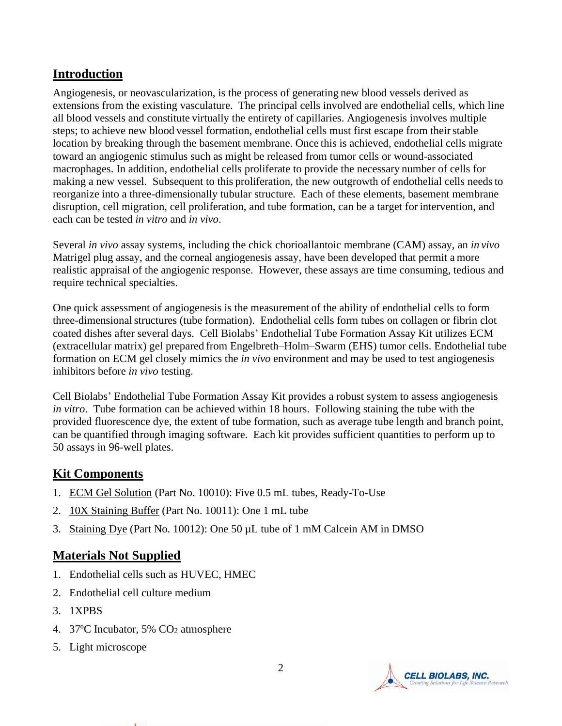## **Introduction**

Angiogenesis, or neovascularization, is the process of generating new blood vessels derived as extensions from the existing vasculature. The principal cells involved are endothelial cells, which line all blood vessels and constitute virtually the entirety of capillaries. Angiogenesis involves multiple steps; to achieve new blood vessel formation, endothelial cells must first escape from their stable location by breaking through the basement membrane. Once this is achieved, endothelial cells migrate toward an angiogenic stimulus such as might be released from tumor cells or wound-associated macrophages. In addition, endothelial cells proliferate to provide the necessary number of cells for making a new vessel. Subsequent to this proliferation, the new outgrowth of endothelial cells needsto reorganize into a three-dimensionally tubular structure. Each of these elements, basement membrane disruption, cell migration, cell proliferation, and tube formation, can be a target for intervention, and each can be tested *in vitro* and *in vivo*.

Several *in vivo* assay systems, including the chick chorioallantoic membrane (CAM) assay, an *in vivo* Matrigel plug assay, and the corneal angiogenesis assay, have been developed that permit a more realistic appraisal of the angiogenic response. However, these assays are time consuming, tedious and require technical specialties.

One quick assessment of angiogenesis is the measurement of the ability of endothelial cells to form three-dimensionalstructures (tube formation). Endothelial cells form tubes on collagen or fibrin clot coated dishes after several days. Cell Biolabs' Endothelial Tube Formation Assay Kit utilizes ECM (extracellular matrix) gel prepared from Engelbreth–Holm–Swarm (EHS) tumor cells. Endothelial tube formation on ECM gel closely mimics the *in vivo* environment and may be used to test angiogenesis inhibitors before *in vivo* testing.

Cell Biolabs' Endothelial Tube Formation Assay Kit provides a robust system to assess angiogenesis *in vitro*. Tube formation can be achieved within 18 hours. Following staining the tube with the provided fluorescence dye, the extent of tube formation, such as average tube length and branch point, can be quantified through imaging software. Each kit provides sufficient quantities to perform up to 50 assays in 96-well plates.

## **Kit Components**

- 1. ECM Gel Solution (Part No. 10010): Five 0.5 mL tubes, Ready-To-Use
- 2. 10X Staining Buffer (Part No. 10011): One 1 mL tube
- 3. Staining Dye (Part No. 10012): One 50 µL tube of 1 mM Calcein AM in DMSO

## **Materials Not Supplied**

- 1. Endothelial cells such as HUVEC, HMEC
- 2. Endothelial cell culture medium
- 3. 1XPBS
- 4. 37°C Incubator, 5% CO<sub>2</sub> atmosphere
- 5. Light microscope

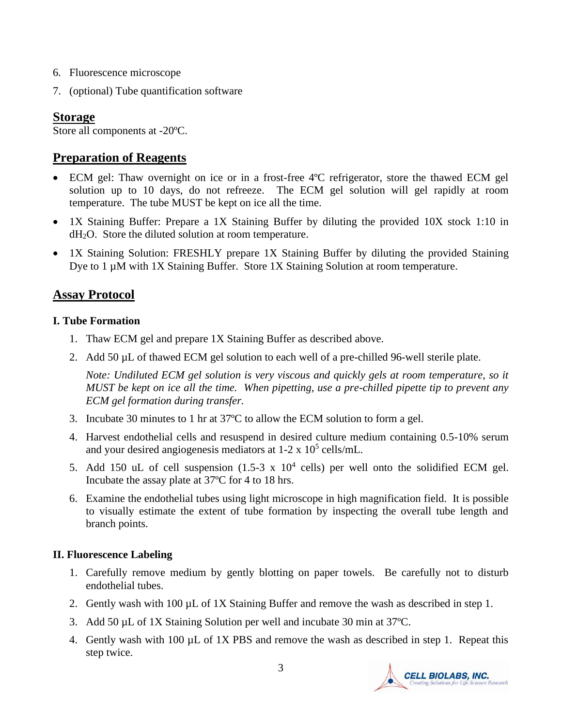- 6. Fluorescence microscope
- 7. (optional) Tube quantification software

## **Storage**

Store all components at -20ºC.

## **Preparation of Reagents**

- ECM gel: Thaw overnight on ice or in a frost-free 4°C refrigerator, store the thawed ECM gel solution up to 10 days, do not refreeze. The ECM gel solution will gel rapidly at room temperature. The tube MUST be kept on ice all the time.
- 1X Staining Buffer: Prepare a 1X Staining Buffer by diluting the provided 10X stock 1:10 in dH2O. Store the diluted solution at room temperature.
- 1X Staining Solution: FRESHLY prepare 1X Staining Buffer by diluting the provided Staining Dye to 1 µM with 1X Staining Buffer. Store 1X Staining Solution at room temperature.

## **Assay Protocol**

#### **I. Tube Formation**

- 1. Thaw ECM gel and prepare 1X Staining Buffer as described above.
- 2. Add 50 µL of thawed ECM gel solution to each well of a pre-chilled 96-well sterile plate.

*Note: Undiluted ECM gel solution is very viscous and quickly gels at room temperature, so it MUST be kept on ice all the time. When pipetting, use a pre-chilled pipette tip to prevent any ECM gel formation during transfer.*

- 3. Incubate 30 minutes to 1 hr at 37ºC to allow the ECM solution to form a gel.
- 4. Harvest endothelial cells and resuspend in desired culture medium containing 0.5-10% serum and your desired angiogenesis mediators at  $1-2 \times 10^5$  cells/mL.
- 5. Add 150 uL of cell suspension  $(1.5-3 \times 10^4 \text{ cells})$  per well onto the solidified ECM gel. Incubate the assay plate at 37ºC for 4 to 18 hrs.
- 6. Examine the endothelial tubes using light microscope in high magnification field. It is possible to visually estimate the extent of tube formation by inspecting the overall tube length and branch points.

#### **II. Fluorescence Labeling**

- 1. Carefully remove medium by gently blotting on paper towels. Be carefully not to disturb endothelial tubes.
- 2. Gently wash with 100 µL of 1X Staining Buffer and remove the wash as described in step 1.
- 3. Add 50 µL of 1X Staining Solution per well and incubate 30 min at 37ºC.
- 4. Gently wash with 100 µL of 1X PBS and remove the wash as described in step 1. Repeat this step twice.

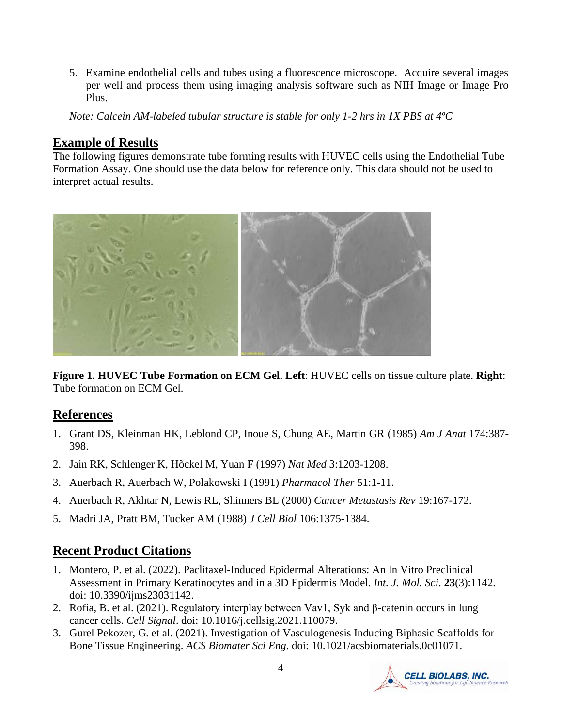5. Examine endothelial cells and tubes using a fluorescence microscope. Acquire several images per well and process them using imaging analysis software such as NIH Image or Image Pro Plus.

*Note: Calcein AM-labeled tubular structure is stable for only 1-2 hrs in 1X PBS at 4ºC*

## **Example of Results**

The following figures demonstrate tube forming results with HUVEC cells using the Endothelial Tube Formation Assay. One should use the data below for reference only. This data should not be used to interpret actual results.



**Figure 1. HUVEC Tube Formation on ECM Gel. Left**: HUVEC cells on tissue culture plate. **Right**: Tube formation on ECM Gel.

## **References**

- 1. Grant DS, Kleinman HK, Leblond CP, Inoue S, Chung AE, Martin GR (1985) *Am J Anat* 174:387- 398.
- 2. Jain RK, Schlenger K, Hõckel M, Yuan F (1997) *Nat Med* 3:1203-1208.
- 3. Auerbach R, Auerbach W, Polakowski I (1991) *Pharmacol Ther* 51:1-11.
- 4. Auerbach R, Akhtar N, Lewis RL, Shinners BL (2000) *Cancer Metastasis Rev* 19:167-172.
- 5. Madri JA, Pratt BM, Tucker AM (1988) *J Cell Biol* 106:1375-1384.

## **Recent Product Citations**

- 1. Montero, P. et al. (2022). Paclitaxel-Induced Epidermal Alterations: An In Vitro Preclinical Assessment in Primary Keratinocytes and in a 3D Epidermis Model. *Int. J. Mol. Sci*. **23**(3):1142. doi: 10.3390/ijms23031142.
- 2. Rofia, B. et al. (2021). Regulatory interplay between Vav1, Syk and β-catenin occurs in lung cancer cells. *Cell Signal*. doi: 10.1016/j.cellsig.2021.110079.
- 3. Gurel Pekozer, G. et al. (2021). Investigation of Vasculogenesis Inducing Biphasic Scaffolds for Bone Tissue Engineering. *ACS Biomater Sci Eng*. doi: 10.1021/acsbiomaterials.0c01071.

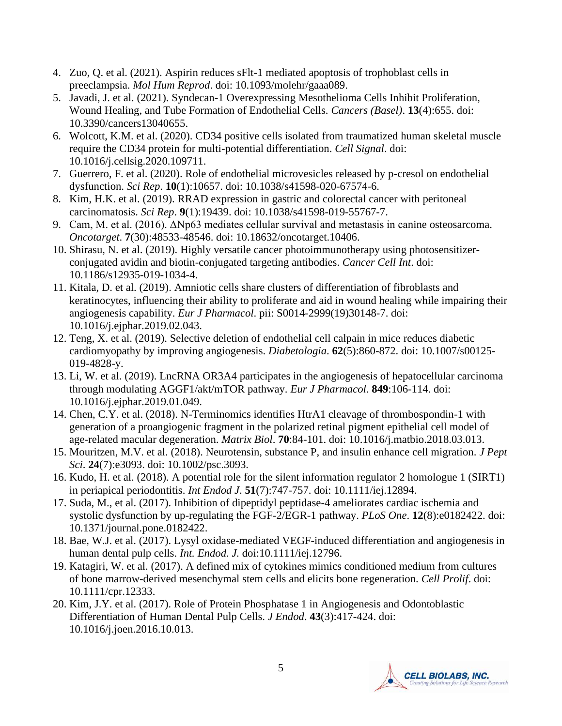- 4. Zuo, Q. et al. (2021). Aspirin reduces sFlt-1 mediated apoptosis of trophoblast cells in preeclampsia. *Mol Hum Reprod*. doi: 10.1093/molehr/gaaa089.
- 5. Javadi, J. et al. (2021). Syndecan-1 Overexpressing Mesothelioma Cells Inhibit Proliferation, Wound Healing, and Tube Formation of Endothelial Cells. *Cancers (Basel)*. **13**(4):655. doi: 10.3390/cancers13040655.
- 6. Wolcott, K.M. et al. (2020). CD34 positive cells isolated from traumatized human skeletal muscle require the CD34 protein for multi-potential differentiation. *Cell Signal*. doi: 10.1016/j.cellsig.2020.109711.
- 7. Guerrero, F. et al. (2020). Role of endothelial microvesicles released by p-cresol on endothelial dysfunction. *Sci Rep*. **10**(1):10657. doi: 10.1038/s41598-020-67574-6.
- 8. Kim, H.K. et al. (2019). RRAD expression in gastric and colorectal cancer with peritoneal carcinomatosis. *Sci Rep*. **9**(1):19439. doi: 10.1038/s41598-019-55767-7.
- 9. Cam, M. et al. (2016). ΔNp63 mediates cellular survival and metastasis in canine osteosarcoma. *Oncotarget*. **7**(30):48533-48546. doi: 10.18632/oncotarget.10406.
- 10. Shirasu, N. et al. (2019). Highly versatile cancer photoimmunotherapy using photosensitizerconjugated avidin and biotin-conjugated targeting antibodies. *Cancer Cell Int*. doi: 10.1186/s12935-019-1034-4.
- 11. Kitala, D. et al. (2019). Amniotic cells share clusters of differentiation of fibroblasts and keratinocytes, influencing their ability to proliferate and aid in wound healing while impairing their angiogenesis capability. *Eur J Pharmacol*. pii: S0014-2999(19)30148-7. doi: 10.1016/j.ejphar.2019.02.043.
- 12. Teng, X. et al. (2019). Selective deletion of endothelial cell calpain in mice reduces diabetic cardiomyopathy by improving angiogenesis. *Diabetologia*. **62**(5):860-872. doi: 10.1007/s00125- 019-4828-y.
- 13. Li, W. et al. (2019). LncRNA OR3A4 participates in the angiogenesis of hepatocellular carcinoma through modulating AGGF1/akt/mTOR pathway. *Eur J Pharmacol*. **849**:106-114. doi: 10.1016/j.ejphar.2019.01.049.
- 14. Chen, C.Y. et al. (2018). N-Terminomics identifies HtrA1 cleavage of thrombospondin-1 with generation of a proangiogenic fragment in the polarized retinal pigment epithelial cell model of age-related macular degeneration. *Matrix Biol*. **70**:84-101. doi: 10.1016/j.matbio.2018.03.013.
- 15. Mouritzen, M.V. et al. (2018). Neurotensin, substance P, and insulin enhance cell migration. *J Pept Sci*. **24**(7):e3093. doi: 10.1002/psc.3093.
- 16. Kudo, H. et al. (2018). A potential role for the silent information regulator 2 homologue 1 (SIRT1) in periapical periodontitis. *Int Endod J*. **51**(7):747-757. doi: 10.1111/iej.12894.
- 17. Suda, M., et al. (2017). Inhibition of dipeptidyl peptidase-4 ameliorates cardiac ischemia and systolic dysfunction by up-regulating the FGF-2/EGR-1 pathway. *PLoS One*. **12**(8):e0182422. doi: 10.1371/journal.pone.0182422.
- 18. Bae, W.J. et al. (2017). Lysyl oxidase-mediated VEGF-induced differentiation and angiogenesis in human dental pulp cells. *Int. Endod. J.* doi:10.1111/iej.12796.
- 19. Katagiri, W. et al. (2017). A defined mix of cytokines mimics conditioned medium from cultures of bone marrow-derived mesenchymal stem cells and elicits bone regeneration. *Cell Prolif*. doi: 10.1111/cpr.12333.
- 20. Kim, J.Y. et al. (2017). Role of Protein Phosphatase 1 in Angiogenesis and Odontoblastic Differentiation of Human Dental Pulp Cells. *J Endod*. **43**(3):417-424. doi: 10.1016/j.joen.2016.10.013.